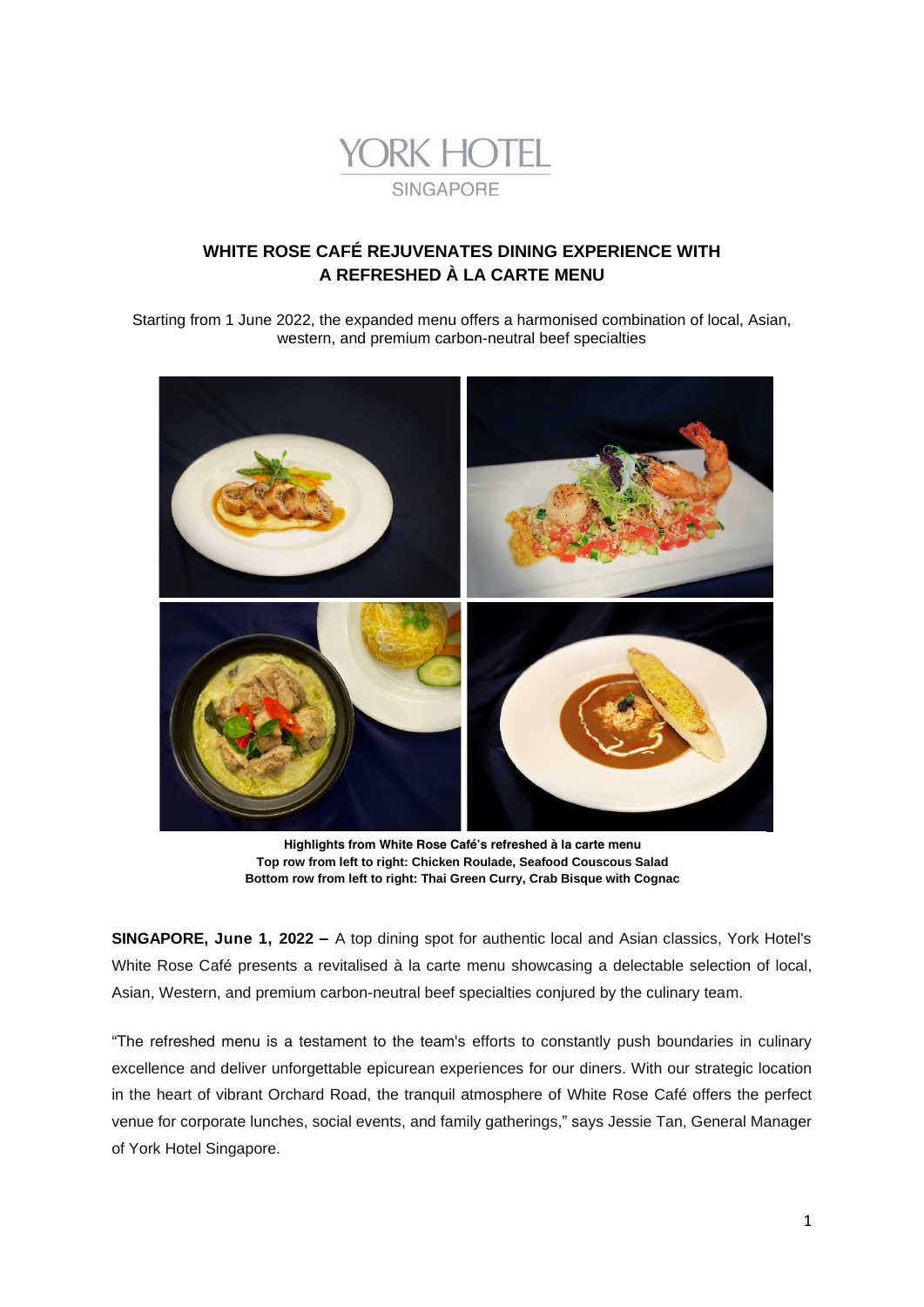

# **WHITE ROSE CAFÉ REJUVENATES DINING EXPERIENCE WITH A REFRESHED À LA CARTE MENU**

*Starting from 1 June 2022, the expanded menu offers a harmonised combination of local, Asian, western, and premium carbon-neutral beef specialties*



**Highlights from White Rose Café's refreshed à la carte menu Top row from left to right: Chicken Roulade, Seafood Couscous Salad Bottom row from left to right: Thai Green Curry, Crab Bisque with Cognac**

**SINGAPORE, June 1, 2022 –** A top dining spot for authentic local and Asian classics, York Hotel's White Rose Café presents a revitalised à la carte menu showcasing a delectable selection of local, Asian, Western, and premium carbon-neutral beef specialties conjured by the culinary team.

"The refreshed menu is a testament to the team's efforts to constantly push boundaries in culinary excellence and deliver unforgettable epicurean experiences for our diners. With our strategic location in the heart of vibrant Orchard Road, the tranquil atmosphere of White Rose Café offers the perfect venue for corporate lunches, social events, and family gatherings," says Jessie Tan, General Manager of York Hotel Singapore.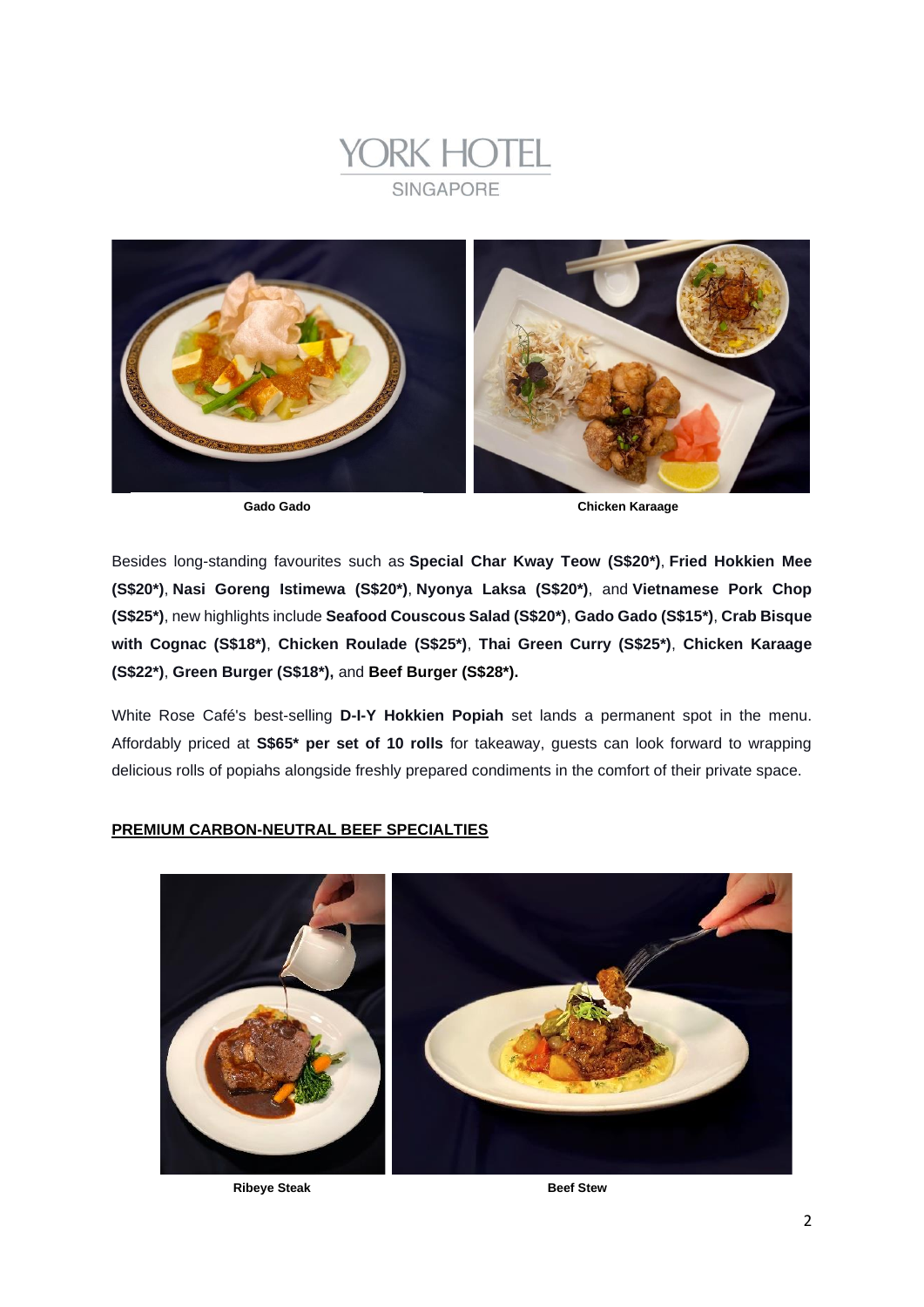



**Gado Gado Chicken Karaage**

Besides long-standing favourites such as **Special Char Kway Teow (S\$20\*)**, **Fried Hokkien Mee (S\$20\*)**, **Nasi Goreng Istimewa (S\$20\*)**, **Nyonya Laksa (S\$20\*)**, and **Vietnamese Pork Chop (S\$25\*)**, new highlights include **Seafood Couscous Salad (S\$20\*)**, *Gado Gado* **(S\$15\*)**, **Crab Bisque with Cognac (S\$18\*)**, **Chicken Roulade (S\$25\*)**, **Thai Green Curry (S\$25\*)**, **Chicken Karaage (S\$22\*)**, **Green Burger (S\$18\*),** and **Beef Burger (S\$28\*).**

White Rose Café's best-selling **D-I-Y Hokkien Popiah** set lands a permanent spot in the menu. Affordably priced at **S\$65\* per set of 10 rolls** for takeaway, guests can look forward to wrapping delicious rolls of *popiahs* alongside freshly prepared condiments in the comfort of their private space.

## **PREMIUM CARBON-NEUTRAL BEEF SPECIALTIES**

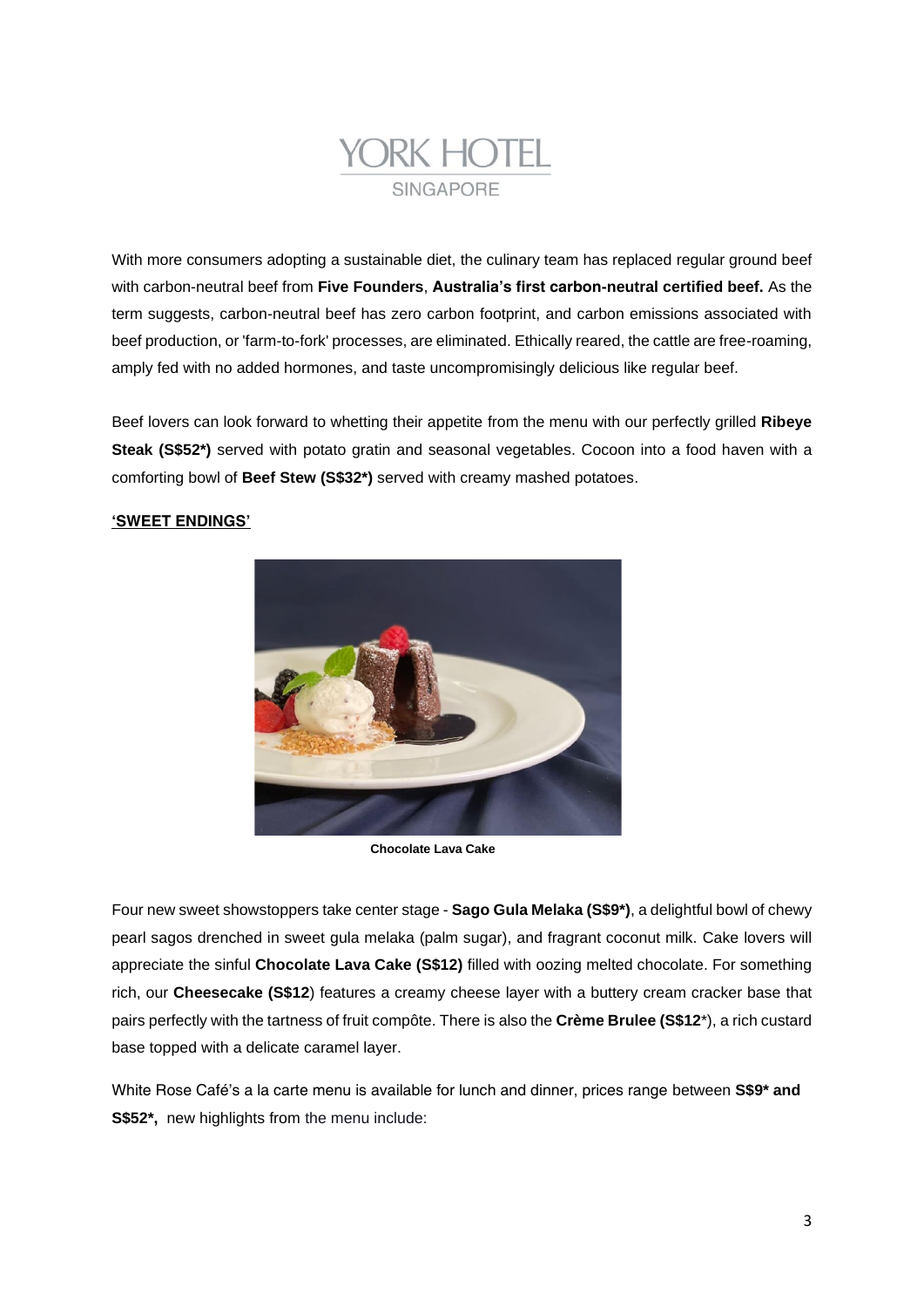

With more consumers adopting a sustainable diet, the culinary team has replaced regular ground beef with carbon-neutral beef from **Five Founders**, **Australia's first carbon-neutral certified beef.** As the term suggests, carbon-neutral beef has zero carbon footprint, and carbon emissions associated with beef production, or 'farm-to-fork' processes, are eliminated. Ethically reared, the cattle are free-roaming, amply fed with no added hormones, and taste uncompromisingly delicious like regular beef.

Beef lovers can look forward to whetting their appetite from the menu with our perfectly grilled **Ribeye Steak (S\$52\*)** served with potato gratin and seasonal vegetables. Cocoon into a food haven with a comforting bowl of **Beef Stew (S\$32\*)** served with creamy mashed potatoes.

# **'SWEET ENDINGS'**



**Chocolate Lava Cake**

Four new sweet showstoppers take center stage - **Sago Gula Melaka (S\$9\*)**, a delightful bowl of chewy pearl sagos drenched in sweet *gula melaka* (palm sugar), and fragrant coconut milk. Cake lovers will appreciate the sinful **Chocolate Lava Cake (S\$12)** filled with oozing melted chocolate. For something rich, our **Cheesecake (S\$12**) features a creamy cheese layer with a buttery cream cracker base that pairs perfectly with the tartness of fruit compôte. There is also the **Crème Brulee (S\$12**\*), a rich custard base topped with a delicate caramel layer.

White Rose Café's a la carte menu is available for lunch and dinner, prices range between **S\$9\* and S\$52\*,** new highlights from the menu include: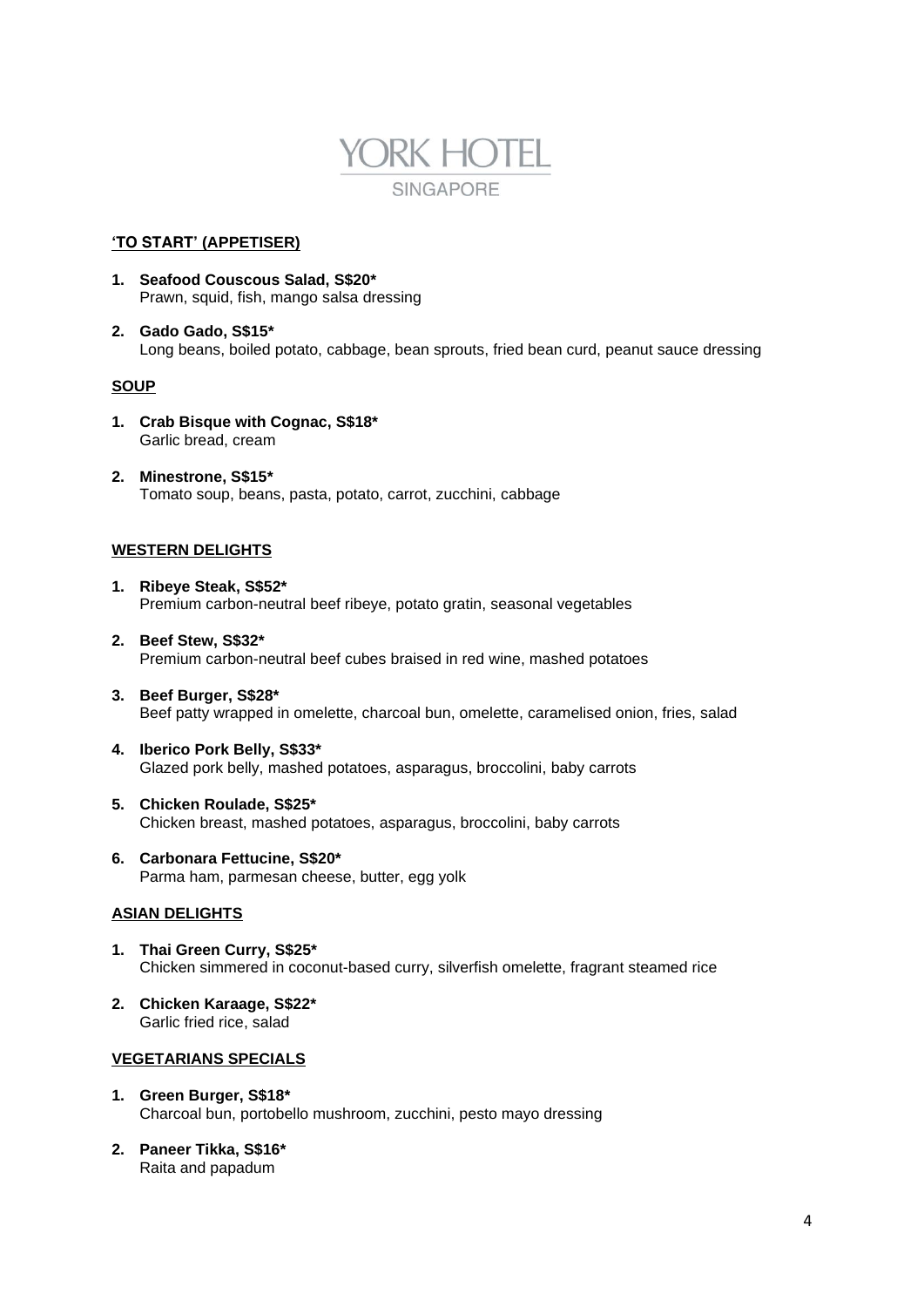

#### **'TO START' (APPETISER)**

- **1. Seafood Couscous Salad, S\$20\*** Prawn, squid, fish, mango salsa dressing
- **2. Gado Gado, S\$15\*** Long beans, boiled potato, cabbage, bean sprouts, fried bean curd, peanut sauce dressing

## **SOUP**

- **1. Crab Bisque with Cognac, S\$18\*** Garlic bread, cream
- **2. Minestrone, S\$15\*** Tomato soup, beans, pasta, potato, carrot, zucchini, cabbage

## **WESTERN DELIGHTS**

- **1. Ribeye Steak, S\$52\*** Premium carbon-neutral beef ribeye, potato gratin, seasonal vegetables
- **2. Beef Stew, S\$32\*** Premium carbon-neutral beef cubes braised in red wine, mashed potatoes
- **3. Beef Burger, S\$28\*** Beef patty wrapped in omelette, charcoal bun, omelette, caramelised onion, fries, salad
- **4. Iberico Pork Belly, S\$33\*** Glazed pork belly, mashed potatoes, asparagus, broccolini, baby carrots
- **5. Chicken Roulade, S\$25\*** Chicken breast, mashed potatoes, asparagus, broccolini, baby carrots
- **6. Carbonara Fettucine, S\$20\*** Parma ham, parmesan cheese, butter, egg yolk

### **ASIAN DELIGHTS**

- **1. Thai Green Curry, S\$25\*** Chicken simmered in coconut-based curry, silverfish omelette, fragrant steamed rice
- **2. Chicken Karaage, S\$22\*** Garlic fried rice, salad

## **VEGETARIANS SPECIALS**

- **1. Green Burger, S\$18\*** Charcoal bun, portobello mushroom, zucchini, pesto mayo dressing
- **2. Paneer Tikka, S\$16\*** Raita and papadum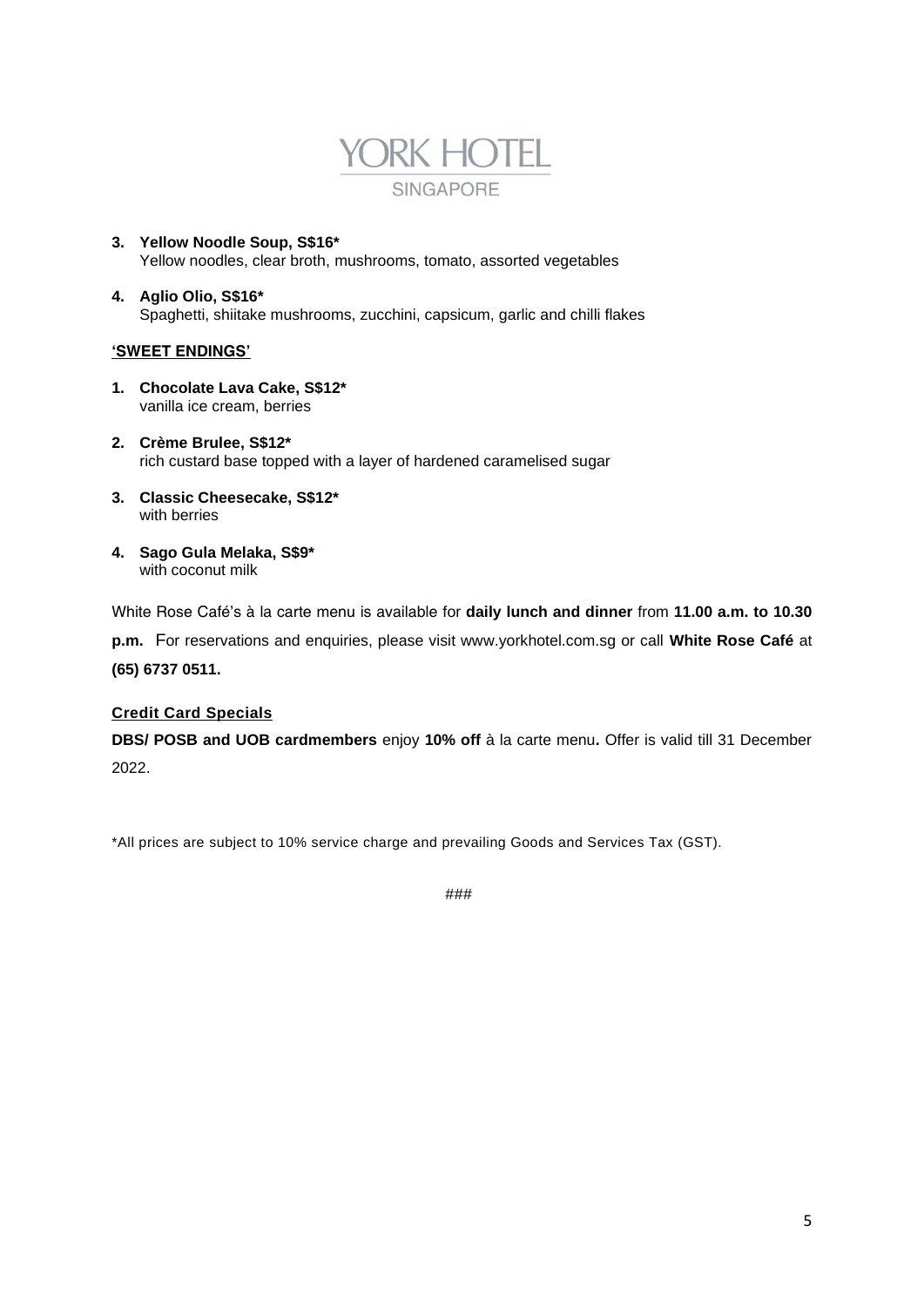

- **3. Yellow Noodle Soup, S\$16\*** Yellow noodles, clear broth, mushrooms, tomato, assorted vegetables
- **4. Aglio Olio, S\$16\*** Spaghetti, shiitake mushrooms, zucchini, capsicum, garlic and chilli flakes

## **'SWEET ENDINGS'**

- **1. Chocolate Lava Cake, S\$12\*** vanilla ice cream, berries
- **2. Crème Brulee, S\$12\*** rich custard base topped with a layer of hardened caramelised sugar
- **3. Classic Cheesecake, S\$12\*** with berries
- **4. Sago Gula Melaka, S\$9\*** with coconut milk

White Rose Café's à la carte menu is available for **daily lunch and dinner** from **11.00 a.m. to 10.30** 

**p.m.** For reservations and enquiries, please visit www.yorkhotel.com.sg or call **White Rose Café** at **(65) 6737 0511.**

# **Credit Card Specials**

**DBS/ POSB and UOB cardmembers** enjoy **10% off** à la carte menu**.** Offer is valid till 31 December 2022.

*\*All prices are subject to 10% service charge and prevailing Goods and Services Tax (GST).*

###